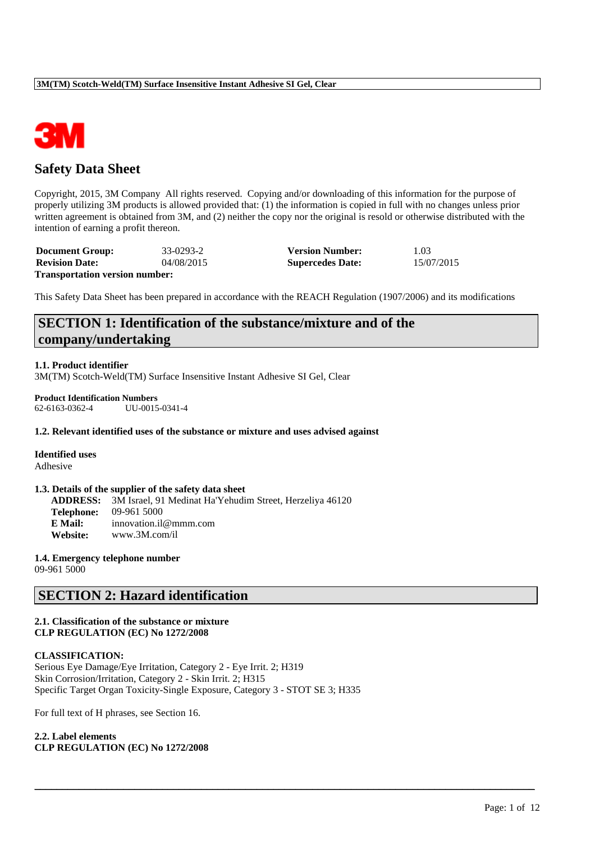

# **Safety Data Sheet**

Copyright, 2015, 3M Company All rights reserved. Copying and/or downloading of this information for the purpose of properly utilizing 3M products is allowed provided that: (1) the information is copied in full with no changes unless prior written agreement is obtained from 3M, and (2) neither the copy nor the original is resold or otherwise distributed with the intention of earning a profit thereon.

| <b>Document Group:</b>                | 33-0293-2  | <b>Version Number:</b>  | 1.03       |
|---------------------------------------|------------|-------------------------|------------|
| <b>Revision Date:</b>                 | 04/08/2015 | <b>Supercedes Date:</b> | 15/07/2015 |
| <b>Transportation version number:</b> |            |                         |            |

This Safety Data Sheet has been prepared in accordance with the REACH Regulation (1907/2006) and its modifications

# **SECTION 1: Identification of the substance/mixture and of the company/undertaking**

**1.1. Product identifier**

3M(TM) Scotch-Weld(TM) Surface Insensitive Instant Adhesive SI Gel, Clear

**Product Identification Numbers** 62-6163-0362-4 UU-0015-0341-4

#### **1.2. Relevant identified uses of the substance or mixture and uses advised against**

**Identified uses** Adhesive

#### **1.3. Details of the supplier of the safety data sheet**

**ADDRESS:** 3M Israel, 91 Medinat Ha'Yehudim Street, Herzeliya 46120 **Telephone:** 09-961 5000 **E Mail:** innovation.il@mmm.com **Website:** www.3M.com/il

#### **1.4. Emergency telephone number** 09-961 5000

## **SECTION 2: Hazard identification**

### **2.1. Classification of the substance or mixture CLP REGULATION (EC) No 1272/2008**

#### **CLASSIFICATION:**

Serious Eye Damage/Eye Irritation, Category 2 - Eye Irrit. 2; H319 Skin Corrosion/Irritation, Category 2 - Skin Irrit. 2; H315 Specific Target Organ Toxicity-Single Exposure, Category 3 - STOT SE 3; H335

\_\_\_\_\_\_\_\_\_\_\_\_\_\_\_\_\_\_\_\_\_\_\_\_\_\_\_\_\_\_\_\_\_\_\_\_\_\_\_\_\_\_\_\_\_\_\_\_\_\_\_\_\_\_\_\_\_\_\_\_\_\_\_\_\_\_\_\_\_\_\_\_\_\_\_\_\_\_\_\_\_\_\_\_\_\_\_\_\_\_

For full text of H phrases, see Section 16.

**2.2. Label elements CLP REGULATION (EC) No 1272/2008**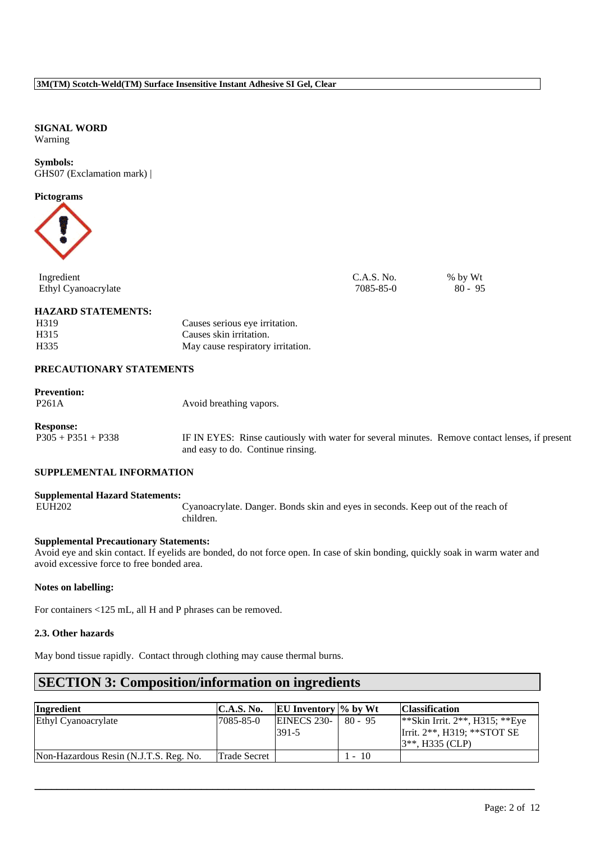### **SIGNAL WORD** Warning

**Symbols:** GHS07 (Exclamation mark) |

### **Pictograms**



| Ingredient          | C.A.S. No. | % by Wt   |
|---------------------|------------|-----------|
| Ethyl Cyanoacrylate | 7085-85-0  | $80 - 95$ |

### **HAZARD STATEMENTS:**

| H319 | Causes serious eye irritation.    |
|------|-----------------------------------|
| H315 | Causes skin irritation.           |
| H335 | May cause respiratory irritation. |

## **PRECAUTIONARY STATEMENTS**

## **Prevention:**

| Avoid breathing vapors. |
|-------------------------|
|                         |

## **Response:**

P305 + P351 + P338 IF IN EYES: Rinse cautiously with water for several minutes. Remove contact lenses, if present and easy to do. Continue rinsing.

## **SUPPLEMENTAL INFORMATION**

#### **Supplemental Hazard Statements:**

EUH202 Cyanoacrylate. Danger. Bonds skin and eyes in seconds. Keep out of the reach of children.

#### **Supplemental Precautionary Statements:**

Avoid eye and skin contact. If eyelids are bonded, do not force open. In case of skin bonding, quickly soak in warm water and avoid excessive force to free bonded area.

## **Notes on labelling:**

For containers <125 mL, all H and P phrases can be removed.

#### **2.3. Other hazards**

May bond tissue rapidly. Contact through clothing may cause thermal burns.

# **SECTION 3: Composition/information on ingredients**

| Ingredient                             | C.A.S. No.   | <b>EU</b> Inventory $\%$ by Wt |              | <b>Classification</b>                                                                                 |
|----------------------------------------|--------------|--------------------------------|--------------|-------------------------------------------------------------------------------------------------------|
| Ethyl Cyanoacrylate                    | 17085-85-0   | <b>EINECS 230-</b><br>391-5    | $80 - 95$    | <sup>**</sup> Skin Irrit. $2**$ , H315; **Eye<br>Irrit. $2**$ , H319; **STOT SE<br>$3**$ , H335 (CLP) |
| Non-Hazardous Resin (N.J.T.S. Reg. No. | Trade Secret |                                | 10<br>$\sim$ |                                                                                                       |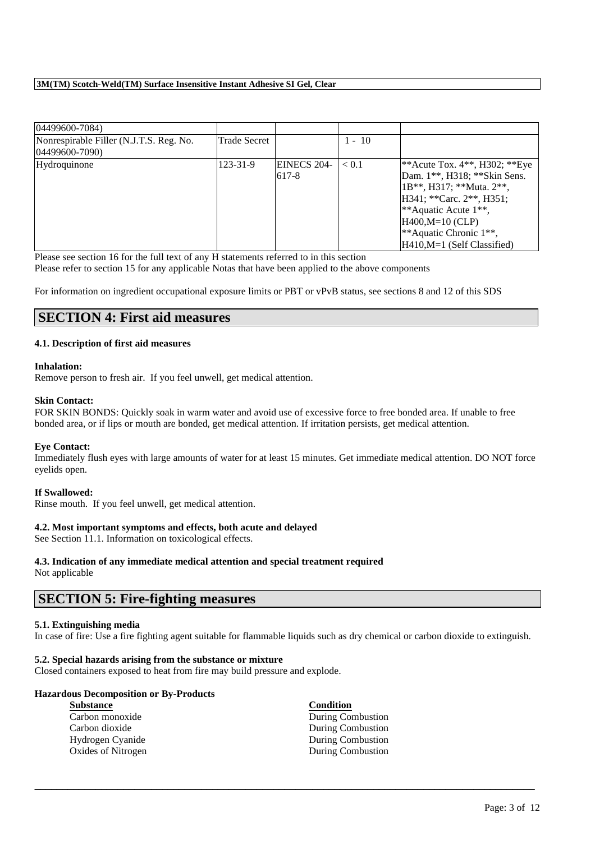| 04499600-7084)                                                 |                |             |          |                                  |
|----------------------------------------------------------------|----------------|-------------|----------|----------------------------------|
| Nonrespirable Filler (N.J.T.S. Reg. No.<br>$(04499600 - 7090)$ | Trade Secret   |             | $1 - 10$ |                                  |
|                                                                |                |             |          |                                  |
| Hydroquinone                                                   | $123 - 31 - 9$ | EINECS 204- | < 0.1    | **Acute Tox. $4**$ , H302; **Eye |
|                                                                |                | 617-8       |          | Dam. 1**, H318; **Skin Sens.     |
|                                                                |                |             |          | 1B**, H317; **Muta. 2**,         |
|                                                                |                |             |          | H341; ** Carc. 2**, H351;        |
|                                                                |                |             |          | **Aquatic Acute $1**$ ,          |
|                                                                |                |             |          | $HA400.M=10$ (CLP)               |
|                                                                |                |             |          | **Aquatic Chronic 1**,           |
|                                                                |                |             |          | H410, M=1 (Self Classified)      |

Please see section 16 for the full text of any H statements referred to in this section

Please refer to section 15 for any applicable Notas that have been applied to the above components

For information on ingredient occupational exposure limits or PBT or vPvB status, see sections 8 and 12 of this SDS

## **SECTION 4: First aid measures**

## **4.1. Description of first aid measures**

#### **Inhalation:**

Remove person to fresh air. If you feel unwell, get medical attention.

#### **Skin Contact:**

FOR SKIN BONDS: Quickly soak in warm water and avoid use of excessive force to free bonded area. If unable to free bonded area, or if lips or mouth are bonded, get medical attention. If irritation persists, get medical attention.

#### **Eye Contact:**

Immediately flush eyes with large amounts of water for at least 15 minutes. Get immediate medical attention. DO NOT force eyelids open.

#### **If Swallowed:**

Rinse mouth. If you feel unwell, get medical attention.

## **4.2. Most important symptoms and effects, both acute and delayed**

See Section 11.1. Information on toxicological effects.

# **4.3. Indication of any immediate medical attention and special treatment required**

Not applicable

## **SECTION 5: Fire-fighting measures**

## **5.1. Extinguishing media**

In case of fire: Use a fire fighting agent suitable for flammable liquids such as dry chemical or carbon dioxide to extinguish.

\_\_\_\_\_\_\_\_\_\_\_\_\_\_\_\_\_\_\_\_\_\_\_\_\_\_\_\_\_\_\_\_\_\_\_\_\_\_\_\_\_\_\_\_\_\_\_\_\_\_\_\_\_\_\_\_\_\_\_\_\_\_\_\_\_\_\_\_\_\_\_\_\_\_\_\_\_\_\_\_\_\_\_\_\_\_\_\_\_\_

#### **5.2. Special hazards arising from the substance or mixture**

Closed containers exposed to heat from fire may build pressure and explode.

## **Hazardous Decomposition or By-Products**

| <b>Substance</b>   | Condition                |
|--------------------|--------------------------|
| Carbon monoxide    | During Combustion        |
| Carbon dioxide     | During Combustion        |
| Hydrogen Cyanide   | <b>During Combustion</b> |
| Oxides of Nitrogen | During Combustion        |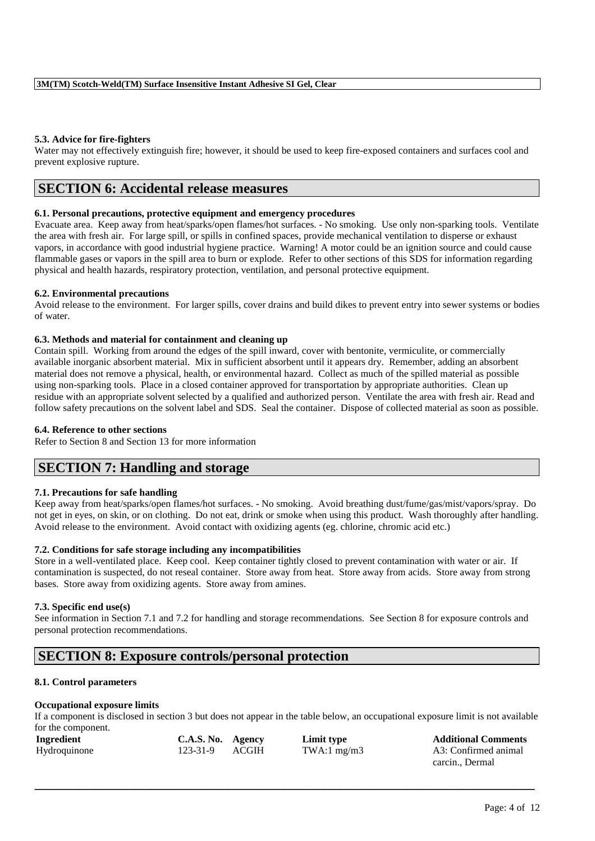### **5.3. Advice for fire-fighters**

Water may not effectively extinguish fire; however, it should be used to keep fire-exposed containers and surfaces cool and prevent explosive rupture.

## **SECTION 6: Accidental release measures**

## **6.1. Personal precautions, protective equipment and emergency procedures**

Evacuate area. Keep away from heat/sparks/open flames/hot surfaces. - No smoking. Use only non-sparking tools. Ventilate the area with fresh air. For large spill, or spills in confined spaces, provide mechanical ventilation to disperse or exhaust vapors, in accordance with good industrial hygiene practice. Warning! A motor could be an ignition source and could cause flammable gases or vapors in the spill area to burn or explode. Refer to other sections of this SDS for information regarding physical and health hazards, respiratory protection, ventilation, and personal protective equipment.

#### **6.2. Environmental precautions**

Avoid release to the environment. For larger spills, cover drains and build dikes to prevent entry into sewer systems or bodies of water.

#### **6.3. Methods and material for containment and cleaning up**

Contain spill. Working from around the edges of the spill inward, cover with bentonite, vermiculite, or commercially available inorganic absorbent material. Mix in sufficient absorbent until it appears dry. Remember, adding an absorbent material does not remove a physical, health, or environmental hazard. Collect as much of the spilled material as possible using non-sparking tools. Place in a closed container approved for transportation by appropriate authorities. Clean up residue with an appropriate solvent selected by a qualified and authorized person. Ventilate the area with fresh air. Read and follow safety precautions on the solvent label and SDS. Seal the container. Dispose of collected material as soon as possible.

#### **6.4. Reference to other sections**

Refer to Section 8 and Section 13 for more information

# **SECTION 7: Handling and storage**

## **7.1. Precautions for safe handling**

Keep away from heat/sparks/open flames/hot surfaces. - No smoking. Avoid breathing dust/fume/gas/mist/vapors/spray. Do not get in eyes, on skin, or on clothing. Do not eat, drink or smoke when using this product. Wash thoroughly after handling. Avoid release to the environment. Avoid contact with oxidizing agents (eg. chlorine, chromic acid etc.)

## **7.2. Conditions for safe storage including any incompatibilities**

Store in a well-ventilated place. Keep cool. Keep container tightly closed to prevent contamination with water or air. If contamination is suspected, do not reseal container. Store away from heat. Store away from acids. Store away from strong bases. Store away from oxidizing agents. Store away from amines.

## **7.3. Specific end use(s)**

See information in Section 7.1 and 7.2 for handling and storage recommendations. See Section 8 for exposure controls and personal protection recommendations.

# **SECTION 8: Exposure controls/personal protection**

## **8.1. Control parameters**

## **Occupational exposure limits**

If a component is disclosed in section 3 but does not appear in the table below, an occupational exposure limit is not available for the component.

| Ingredient   | C.A.S. No. Agency |              | Limit type    | <b>Additional Comments</b> |
|--------------|-------------------|--------------|---------------|----------------------------|
| Hydroquinone | 123-31-9          | <b>ACGIH</b> | TWA:1 $mg/m3$ | A3: Confirmed animal       |
|              |                   |              |               | carcin., Dermal            |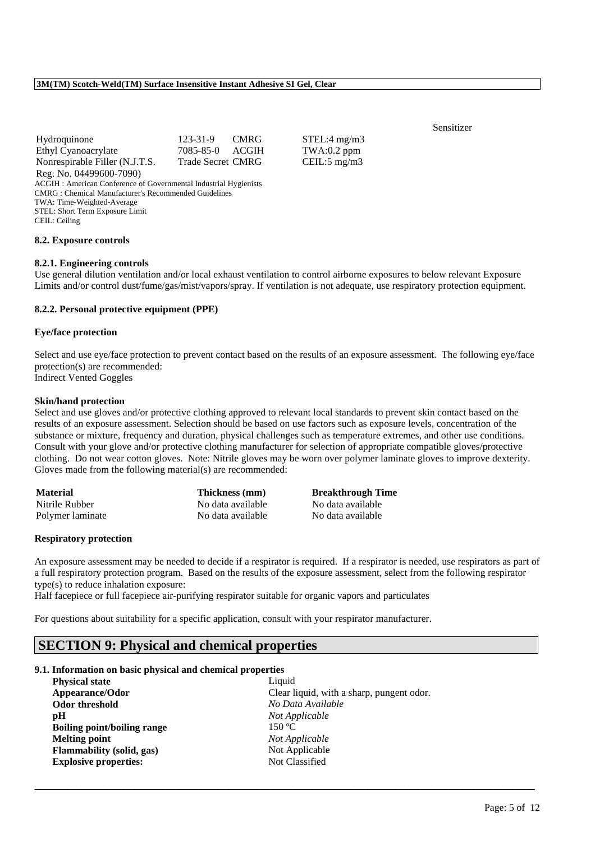| Hydroquinone                                                     | 123-31-9 CMRG            |  |
|------------------------------------------------------------------|--------------------------|--|
| Ethyl Cyanoacrylate                                              | 7085-85-0 ACGIH          |  |
| Nonrespirable Filler (N.J.T.S.                                   | <b>Trade Secret CMRG</b> |  |
| Reg. No. 04499600-7090)                                          |                          |  |
| ACGIH: American Conference of Governmental Industrial Hygienists |                          |  |
| <b>CMRG</b> : Chemical Manufacturer's Recommended Guidelines     |                          |  |
| TWA: Time-Weighted-Average                                       |                          |  |
| STEL: Short Term Exposure Limit                                  |                          |  |
| CEIL: Ceiling                                                    |                          |  |
|                                                                  |                          |  |

#### **8.2. Exposure controls**

#### **8.2.1. Engineering controls**

Use general dilution ventilation and/or local exhaust ventilation to control airborne exposures to below relevant Exposure Limits and/or control dust/fume/gas/mist/vapors/spray. If ventilation is not adequate, use respiratory protection equipment.

STEL:4 mg/m3  $TWA:0.2$  ppm

 $CEIL:5 mg/m3$ 

#### **8.2.2. Personal protective equipment (PPE)**

#### **Eye/face protection**

Select and use eye/face protection to prevent contact based on the results of an exposure assessment. The following eye/face protection(s) are recommended:

Indirect Vented Goggles

#### **Skin/hand protection**

Select and use gloves and/or protective clothing approved to relevant local standards to prevent skin contact based on the results of an exposure assessment. Selection should be based on use factors such as exposure levels, concentration of the substance or mixture, frequency and duration, physical challenges such as temperature extremes, and other use conditions. Consult with your glove and/or protective clothing manufacturer for selection of appropriate compatible gloves/protective clothing. Do not wear cotton gloves. Note: Nitrile gloves may be worn over polymer laminate gloves to improve dexterity. Gloves made from the following material(s) are recommended:

| <b>Material</b>  | Thickness (mm)    | <b>Breakthrough Time</b> |
|------------------|-------------------|--------------------------|
| Nitrile Rubber   | No data available | No data available        |
| Polymer laminate | No data available | No data available        |

#### **Respiratory protection**

An exposure assessment may be needed to decide if a respirator is required. If a respirator is needed, use respirators as part of a full respiratory protection program. Based on the results of the exposure assessment, select from the following respirator type(s) to reduce inhalation exposure:

\_\_\_\_\_\_\_\_\_\_\_\_\_\_\_\_\_\_\_\_\_\_\_\_\_\_\_\_\_\_\_\_\_\_\_\_\_\_\_\_\_\_\_\_\_\_\_\_\_\_\_\_\_\_\_\_\_\_\_\_\_\_\_\_\_\_\_\_\_\_\_\_\_\_\_\_\_\_\_\_\_\_\_\_\_\_\_\_\_\_

Half facepiece or full facepiece air-purifying respirator suitable for organic vapors and particulates

For questions about suitability for a specific application, consult with your respirator manufacturer.

# **SECTION 9: Physical and chemical properties**

#### **9.1. Information on basic physical and chemical properties**

| <b>Physical state</b>        | Liquid                                    |
|------------------------------|-------------------------------------------|
| Appearance/Odor              | Clear liquid, with a sharp, pungent odor. |
| Odor threshold               | No Data Available                         |
| рH                           | Not Applicable                            |
| Boiling point/boiling range  | 150 °C                                    |
| <b>Melting point</b>         | Not Applicable                            |
| Flammability (solid, gas)    | Not Applicable                            |
| <b>Explosive properties:</b> | Not Classified                            |

## Sensitizer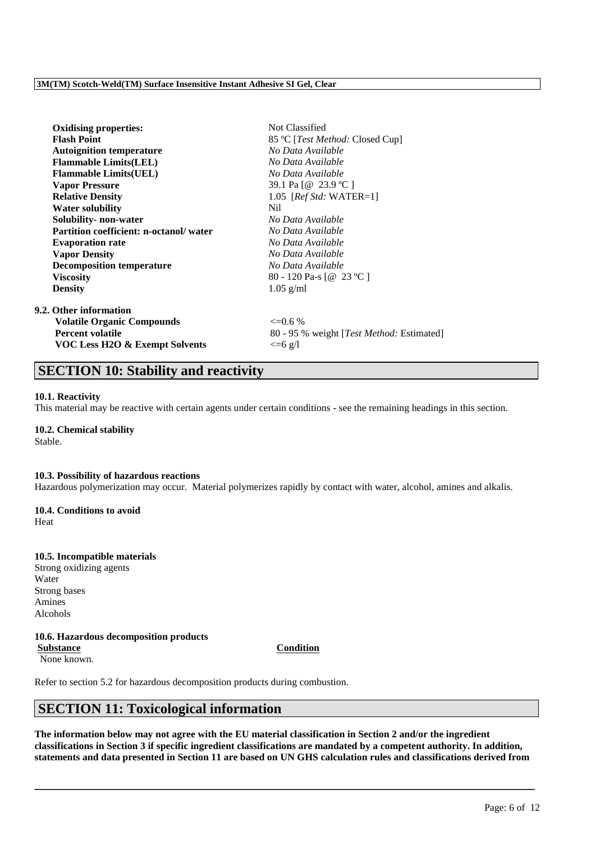| <b>Oxidising properties:</b>                  | Not Classified                            |
|-----------------------------------------------|-------------------------------------------|
| <b>Flash Point</b>                            | 85 °C [ <i>Test Method</i> : Closed Cup]  |
| <b>Autoignition temperature</b>               | No Data Available                         |
| <b>Flammable Limits(LEL)</b>                  | No Data Available                         |
| <b>Flammable Limits(UEL)</b>                  | No Data Available                         |
| <b>Vapor Pressure</b>                         | 39.1 Pa [@ 23.9 °C ]                      |
| <b>Relative Density</b>                       | 1.05 [ $RefStd: WATER=1$ ]                |
| <b>Water solubility</b>                       | Nil.                                      |
| Solubility- non-water                         | No Data Available                         |
| <b>Partition coefficient: n-octanol/water</b> | No Data Available                         |
| <b>Evaporation rate</b>                       | No Data Available                         |
| <b>Vapor Density</b>                          | No Data Available                         |
| <b>Decomposition temperature</b>              | No Data Available                         |
| <b>Viscosity</b>                              | 80 - 120 Pa-s [@ 23 °C ]                  |
| <b>Density</b>                                | $1.05$ g/ml                               |
| 9.2. Other information                        |                                           |
| <b>Volatile Organic Compounds</b>             | $\leq 0.6\%$                              |
| <b>Percent volatile</b>                       | 80 - 95 % weight [Test Method: Estimated] |
| <b>VOC Less H2O &amp; Exempt Solvents</b>     | $\leq$ =6 g/l                             |
|                                               |                                           |

# **SECTION 10: Stability and reactivity**

#### **10.1. Reactivity**

This material may be reactive with certain agents under certain conditions - see the remaining headings in this section.

## **10.2. Chemical stability**

Stable.

#### **10.3. Possibility of hazardous reactions**

Hazardous polymerization may occur. Material polymerizes rapidly by contact with water, alcohol, amines and alkalis.

## **10.4. Conditions to avoid**

Heat

## **10.5. Incompatible materials**

Strong oxidizing agents Water Strong bases Amines Alcohols

## **10.6. Hazardous decomposition products**

**Substance Condition** None known.

Refer to section 5.2 for hazardous decomposition products during combustion.

# **SECTION 11: Toxicological information**

**The information below may not agree with the EU material classification in Section 2 and/or the ingredient classifications in Section 3 if specific ingredient classifications are mandated by a competent authority. In addition, statements and data presented in Section 11 are based on UN GHS calculation rules and classifications derived from**

\_\_\_\_\_\_\_\_\_\_\_\_\_\_\_\_\_\_\_\_\_\_\_\_\_\_\_\_\_\_\_\_\_\_\_\_\_\_\_\_\_\_\_\_\_\_\_\_\_\_\_\_\_\_\_\_\_\_\_\_\_\_\_\_\_\_\_\_\_\_\_\_\_\_\_\_\_\_\_\_\_\_\_\_\_\_\_\_\_\_

Page: 6 of 12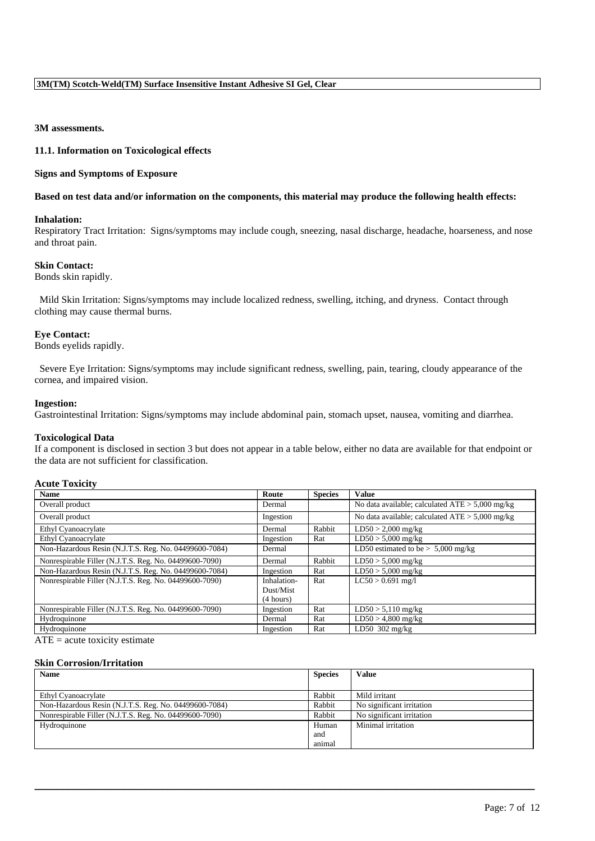## **3M assessments.**

#### **11.1. Information on Toxicological effects**

#### **Signs and Symptoms of Exposure**

#### **Based on test data and/or information on the components, this material may produce the following health effects:**

#### **Inhalation:**

Respiratory Tract Irritation: Signs/symptoms may include cough, sneezing, nasal discharge, headache, hoarseness, and nose and throat pain.

#### **Skin Contact:**

Bonds skin rapidly.

Mild Skin Irritation: Signs/symptoms may include localized redness, swelling, itching, and dryness. Contact through clothing may cause thermal burns.

#### **Eye Contact:**

Bonds eyelids rapidly.

Severe Eye Irritation: Signs/symptoms may include significant redness, swelling, pain, tearing, cloudy appearance of the cornea, and impaired vision.

#### **Ingestion:**

Gastrointestinal Irritation: Signs/symptoms may include abdominal pain, stomach upset, nausea, vomiting and diarrhea.

#### **Toxicological Data**

If a component is disclosed in section 3 but does not appear in a table below, either no data are available for that endpoint or the data are not sufficient for classification.

#### **Acute Toxicity**

| <b>Name</b>                                            | Route       | <b>Species</b> | <b>Value</b>                                      |
|--------------------------------------------------------|-------------|----------------|---------------------------------------------------|
| Overall product                                        | Dermal      |                | No data available; calculated $ATE > 5,000$ mg/kg |
| Overall product                                        | Ingestion   |                | No data available; calculated $ATE > 5,000$ mg/kg |
| Ethyl Cyanoacrylate                                    | Dermal      | Rabbit         | $LD50 > 2,000$ mg/kg                              |
| Ethyl Cyanoacrylate                                    | Ingestion   | Rat            | $LD50 > 5,000$ mg/kg                              |
| Non-Hazardous Resin (N.J.T.S. Reg. No. 04499600-7084)  | Dermal      |                | LD50 estimated to be $> 5,000$ mg/kg              |
| Nonrespirable Filler (N.J.T.S. Reg. No. 04499600-7090) | Dermal      | Rabbit         | $LD50 > 5,000$ mg/kg                              |
| Non-Hazardous Resin (N.J.T.S. Reg. No. 04499600-7084)  | Ingestion   | Rat            | $LD50 > 5,000$ mg/kg                              |
| Nonrespirable Filler (N.J.T.S. Reg. No. 04499600-7090) | Inhalation- | Rat            | $LC50 > 0.691$ mg/l                               |
|                                                        | Dust/Mist   |                |                                                   |
|                                                        | (4 hours)   |                |                                                   |
| Nonrespirable Filler (N.J.T.S. Reg. No. 04499600-7090) | Ingestion   | Rat            | $LD50 > 5,110$ mg/kg                              |
| Hydroquinone                                           | Dermal      | Rat            | $LD50 > 4,800$ mg/kg                              |
| Hydroquinone                                           | Ingestion   | Rat            | LD50 302 mg/kg                                    |

 $ATE = acute$  toxicity estimate

#### **Skin Corrosion/Irritation**

| <b>Name</b>                                            | <b>Species</b> | Value                     |
|--------------------------------------------------------|----------------|---------------------------|
|                                                        |                |                           |
| Ethyl Cyanoacrylate                                    | Rabbit         | Mild irritant             |
| Non-Hazardous Resin (N.J.T.S. Reg. No. 04499600-7084)  | Rabbit         | No significant irritation |
| Nonrespirable Filler (N.J.T.S. Reg. No. 04499600-7090) | Rabbit         | No significant irritation |
| Hydroquinone                                           | Human          | Minimal irritation        |
|                                                        | and            |                           |
|                                                        | animal         |                           |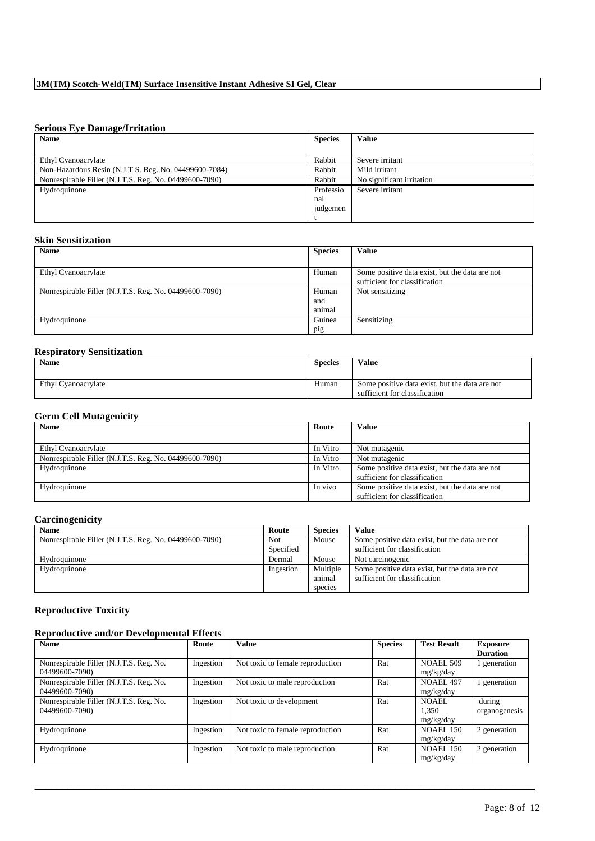## **Serious Eye Damage/Irritation**

| <b>Name</b>                                            | <b>Species</b> | Value                     |
|--------------------------------------------------------|----------------|---------------------------|
|                                                        |                |                           |
| Ethyl Cyanoacrylate                                    | Rabbit         | Severe irritant           |
| Non-Hazardous Resin (N.J.T.S. Reg. No. 04499600-7084)  | Rabbit         | Mild irritant             |
| Nonrespirable Filler (N.J.T.S. Reg. No. 04499600-7090) | Rabbit         | No significant irritation |
| Hydroquinone                                           | Professio      | Severe irritant           |
|                                                        | nal            |                           |
|                                                        | judgemen       |                           |
|                                                        |                |                           |

## **Skin Sensitization**

| <b>Name</b>                                            | <b>Species</b> | <b>Value</b>                                   |
|--------------------------------------------------------|----------------|------------------------------------------------|
|                                                        |                |                                                |
| Ethyl Cyanoacrylate                                    | Human          | Some positive data exist, but the data are not |
|                                                        |                | sufficient for classification                  |
| Nonrespirable Filler (N.J.T.S. Reg. No. 04499600-7090) | Human          | Not sensitizing                                |
|                                                        | and            |                                                |
|                                                        | animal         |                                                |
| Hydroquinone                                           | Guinea         | Sensitizing                                    |
|                                                        | pig            |                                                |

## **Respiratory Sensitization**

| <b>Name</b>         | <b>Species</b> | <b>Value</b>                                                                    |
|---------------------|----------------|---------------------------------------------------------------------------------|
| Ethyl Cyanoacrylate | Human          | Some positive data exist, but the data are not<br>sufficient for classification |

## **Germ Cell Mutagenicity**

| <b>Name</b>                                            | Route    | Value                                                                           |
|--------------------------------------------------------|----------|---------------------------------------------------------------------------------|
|                                                        |          |                                                                                 |
| Ethyl Cyanoacrylate                                    | In Vitro | Not mutagenic                                                                   |
| Nonrespirable Filler (N.J.T.S. Reg. No. 04499600-7090) | In Vitro | Not mutagenic                                                                   |
| Hydroquinone                                           | In Vitro | Some positive data exist, but the data are not<br>sufficient for classification |
| Hydroquinone                                           | In vivo  | Some positive data exist, but the data are not<br>sufficient for classification |

## **Carcinogenicity**

| <b>Name</b>                                            | Route     | <b>Species</b>                | Value                                                                           |
|--------------------------------------------------------|-----------|-------------------------------|---------------------------------------------------------------------------------|
| Nonrespirable Filler (N.J.T.S. Reg. No. 04499600-7090) | Not       | Mouse                         | Some positive data exist, but the data are not                                  |
|                                                        | Specified |                               | sufficient for classification                                                   |
| Hydroquinone                                           | Dermal    | Mouse                         | Not carcinogenic                                                                |
| Hydroquinone                                           | Ingestion | Multiple<br>animal<br>species | Some positive data exist, but the data are not<br>sufficient for classification |

## **Reproductive Toxicity**

## **Reproductive and/or Developmental Effects**

| <b>Name</b>                             | Route     | <b>Value</b>                     | <b>Species</b> | <b>Test Result</b> | <b>Exposure</b> |
|-----------------------------------------|-----------|----------------------------------|----------------|--------------------|-----------------|
|                                         |           |                                  |                |                    | <b>Duration</b> |
| Nonrespirable Filler (N.J.T.S. Reg. No. | Ingestion | Not toxic to female reproduction | Rat            | <b>NOAEL 509</b>   | generation      |
| 04499600-7090)                          |           |                                  |                | mg/kg/day          |                 |
| Nonrespirable Filler (N.J.T.S. Reg. No. | Ingestion | Not toxic to male reproduction   | Rat            | NOAEL 497          | generation      |
| 04499600-7090)                          |           |                                  |                | mg/kg/day          |                 |
| Nonrespirable Filler (N.J.T.S. Reg. No. | Ingestion | Not toxic to development         | Rat            | NOAEL              | during          |
| 04499600-7090)                          |           |                                  |                | 1.350              | organogenesis   |
|                                         |           |                                  |                | mg/kg/day          |                 |
| Hydroquinone                            | Ingestion | Not toxic to female reproduction | Rat            | <b>NOAEL 150</b>   | 2 generation    |
|                                         |           |                                  |                | mg/kg/day          |                 |
| Hydroquinone                            | Ingestion | Not toxic to male reproduction   | Rat            | <b>NOAEL 150</b>   | 2 generation    |
|                                         |           |                                  |                | mg/kg/day          |                 |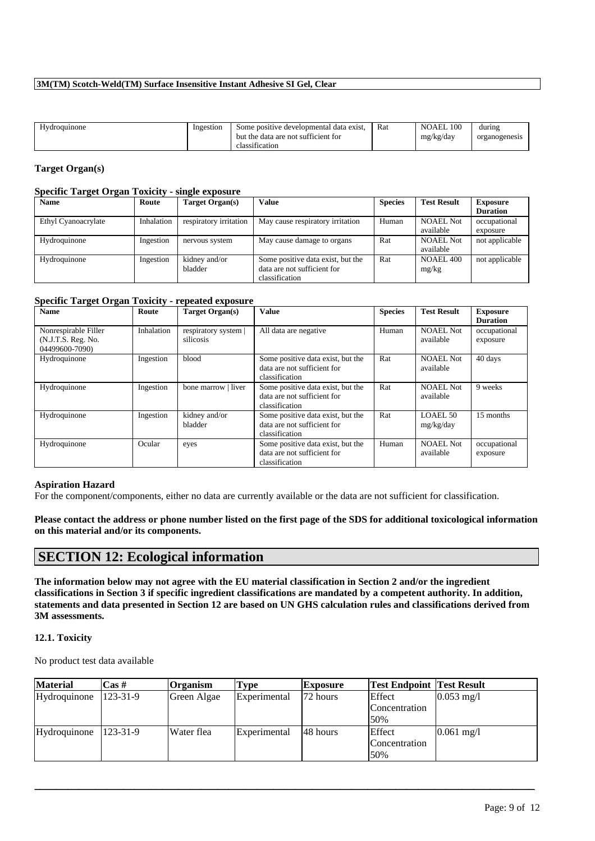| <b>TT</b><br><b>Hydroguinone</b> | Ingestion | Some positive developmental data exist. | Rat | NOAEL 100 | during        |
|----------------------------------|-----------|-----------------------------------------|-----|-----------|---------------|
|                                  |           | but the data are not sufficient for     |     | mg/kg/day | organogenesis |
|                                  |           | $\cdots$<br>classification              |     |           |               |
|                                  |           |                                         |     |           |               |

## **Target Organ(s)**

## **Specific Target Organ Toxicity - single exposure**

| <b>Name</b>         | Route      | Target Organ(s)        | <b>Value</b>                      | <b>Species</b> | <b>Test Result</b> | <b>Exposure</b> |
|---------------------|------------|------------------------|-----------------------------------|----------------|--------------------|-----------------|
|                     |            |                        |                                   |                |                    | <b>Duration</b> |
| Ethyl Cyanoacrylate | Inhalation | respiratory irritation | May cause respiratory irritation  | Human          | <b>NOAEL Not</b>   | occupational    |
|                     |            |                        |                                   |                | available          | exposure        |
| Hydroquinone        | Ingestion  | nervous system         | May cause damage to organs        | Rat            | <b>NOAEL Not</b>   | not applicable  |
|                     |            |                        |                                   |                | available          |                 |
| Hydroquinone        | Ingestion  | kidney and/or          | Some positive data exist, but the | Rat            | <b>NOAEL 400</b>   | not applicable  |
|                     |            | bladder                | data are not sufficient for       |                | mg/kg              |                 |
|                     |            |                        | classification                    |                |                    |                 |

#### **Specific Target Organ Toxicity - repeated exposure**

| <b>Name</b>                                                  | Route      | Target Organ(s)                   | <b>Value</b>                                                                       | <b>Species</b> | <b>Test Result</b>            | <b>Exposure</b><br><b>Duration</b> |
|--------------------------------------------------------------|------------|-----------------------------------|------------------------------------------------------------------------------------|----------------|-------------------------------|------------------------------------|
| Nonrespirable Filler<br>(N.J.T.S. Reg. No.<br>04499600-7090) | Inhalation | respiratory system  <br>silicosis | All data are negative                                                              | Human          | <b>NOAEL Not</b><br>available | occupational<br>exposure           |
| Hydroquinone                                                 | Ingestion  | blood                             | Some positive data exist, but the<br>data are not sufficient for<br>classification | Rat            | <b>NOAEL Not</b><br>available | 40 days                            |
| Hydroquinone                                                 | Ingestion  | bone marrow   liver               | Some positive data exist, but the<br>data are not sufficient for<br>classification | Rat            | <b>NOAEL Not</b><br>available | 9 weeks                            |
| Hydroquinone                                                 | Ingestion  | kidney and/or<br>bladder          | Some positive data exist, but the<br>data are not sufficient for<br>classification | Rat            | LOAEL 50<br>mg/kg/day         | 15 months                          |
| Hydroquinone                                                 | Ocular     | eyes                              | Some positive data exist, but the<br>data are not sufficient for<br>classification | Human          | <b>NOAEL Not</b><br>available | occupational<br>exposure           |

#### **Aspiration Hazard**

For the component/components, either no data are currently available or the data are not sufficient for classification.

**Please contact the address or phone number listed on the first page of the SDS for additional toxicological information on this material and/or its components.**

# **SECTION 12: Ecological information**

**The information below may not agree with the EU material classification in Section 2 and/or the ingredient classifications in Section 3 if specific ingredient classifications are mandated by a competent authority. In addition, statements and data presented in Section 12 are based on UN GHS calculation rules and classifications derived from 3M assessments.**

#### **12.1. Toxicity**

No product test data available

| <b>Material</b> | $\cos \#$      | <b>Organism</b> | Type         | Exposure | <b>Test Endpoint Test Result</b> |                      |
|-----------------|----------------|-----------------|--------------|----------|----------------------------------|----------------------|
| Hydroquinone    | $123 - 31 - 9$ | Green Algae     | Experimental | 72 hours | Effect                           | $0.053 \text{ mg}/1$ |
|                 |                |                 |              |          | Concentration                    |                      |
|                 |                |                 |              |          | 50%                              |                      |
| Hydroquinone    | $123 - 31 - 9$ | Water flea      | Experimental | 48 hours | Effect                           | $0.061$ mg/l         |
|                 |                |                 |              |          | Concentration                    |                      |
|                 |                |                 |              |          | 50%                              |                      |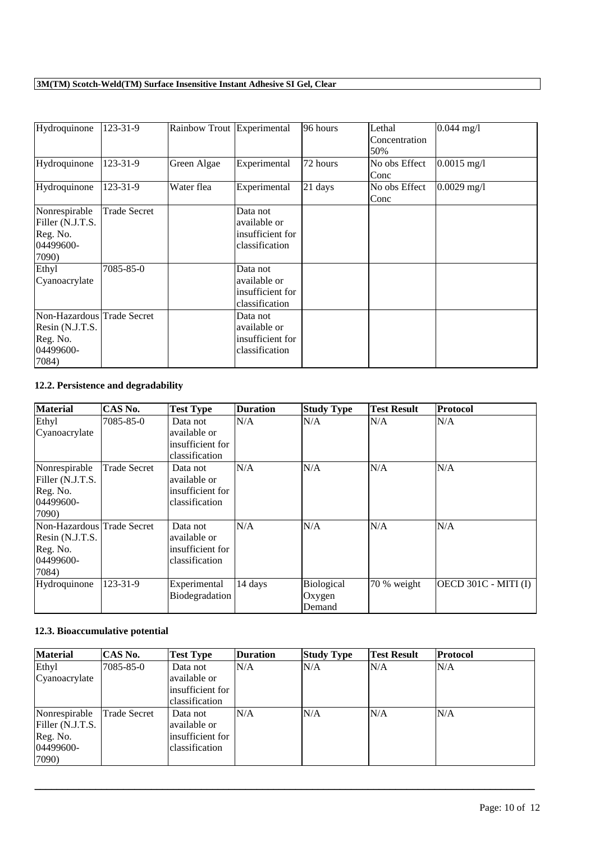| Hydroquinone                                                                    | 123-31-9            | Rainbow Trout Experimental |                                                                | 96 hours | Lethal<br>Concentration<br>50% | $0.044$ mg/l  |
|---------------------------------------------------------------------------------|---------------------|----------------------------|----------------------------------------------------------------|----------|--------------------------------|---------------|
| Hydroquinone                                                                    | 123-31-9            | Green Algae                | Experimental                                                   | 72 hours | No obs Effect<br>Conc          | $0.0015$ mg/l |
| Hydroquinone                                                                    | 123-31-9            | Water flea                 | Experimental                                                   | 21 days  | No obs Effect<br>Conc          | $0.0029$ mg/l |
| Nonrespirable<br>Filler (N.J.T.S.<br>Reg. No.<br>04499600-<br>7090)             | <b>Trade Secret</b> |                            | Data not<br>available or<br>insufficient for<br>classification |          |                                |               |
| Ethyl<br>Cyanoacrylate                                                          | 7085-85-0           |                            | Data not<br>available or<br>insufficient for<br>classification |          |                                |               |
| Non-Hazardous Trade Secret<br>Resin (N.J.T.S.<br>Reg. No.<br>04499600-<br>7084) |                     |                            | Data not<br>available or<br>insufficient for<br>classification |          |                                |               |

## **12.2. Persistence and degradability**

| <b>Material</b>            | CAS No.      | <b>Test Type</b> | <b>Duration</b> | <b>Study Type</b> | <b>Test Result</b> | Protocol             |
|----------------------------|--------------|------------------|-----------------|-------------------|--------------------|----------------------|
| Ethyl                      | 7085-85-0    | Data not         | N/A             | N/A               | N/A                | N/A                  |
| Cyanoacrylate              |              | available or     |                 |                   |                    |                      |
|                            |              | insufficient for |                 |                   |                    |                      |
|                            |              | classification   |                 |                   |                    |                      |
| Nonrespirable              | Trade Secret | Data not         | N/A             | N/A               | N/A                | N/A                  |
| Filler (N.J.T.S.           |              | available or     |                 |                   |                    |                      |
| Reg. No.                   |              | insufficient for |                 |                   |                    |                      |
| 04499600-                  |              | classification   |                 |                   |                    |                      |
| 7090)                      |              |                  |                 |                   |                    |                      |
| Non-Hazardous Trade Secret |              | Data not         | N/A             | N/A               | N/A                | N/A                  |
| Resin (N.J.T.S.            |              | available or     |                 |                   |                    |                      |
| Reg. No.                   |              | insufficient for |                 |                   |                    |                      |
| 04499600-                  |              | classification   |                 |                   |                    |                      |
| 7084)                      |              |                  |                 |                   |                    |                      |
| Hydroquinone               | 123-31-9     | Experimental     | 14 days         | Biological        | 70 % weight        | OECD 301C - MITI (I) |
|                            |              | Biodegradation   |                 | Oxygen            |                    |                      |
|                            |              |                  |                 | Demand            |                    |                      |

## **12.3. Bioaccumulative potential**

| <b>Material</b>  | CAS No.      | <b>Test Type</b> | <b>Duration</b> | <b>Study Type</b> | <b>Test Result</b> | Protocol |
|------------------|--------------|------------------|-----------------|-------------------|--------------------|----------|
| Ethyl            | 7085-85-0    | Data not         | N/A             | N/A               | N/A                | N/A      |
| Cyanoacrylate    |              | available or     |                 |                   |                    |          |
|                  |              | insufficient for |                 |                   |                    |          |
|                  |              | classification   |                 |                   |                    |          |
| Nonrespirable    | Trade Secret | Data not         | N/A             | N/A               | N/A                | N/A      |
| Filler (N.J.T.S. |              | available or     |                 |                   |                    |          |
| Reg. No.         |              | insufficient for |                 |                   |                    |          |
| 04499600-        |              | classification   |                 |                   |                    |          |
| 7090)            |              |                  |                 |                   |                    |          |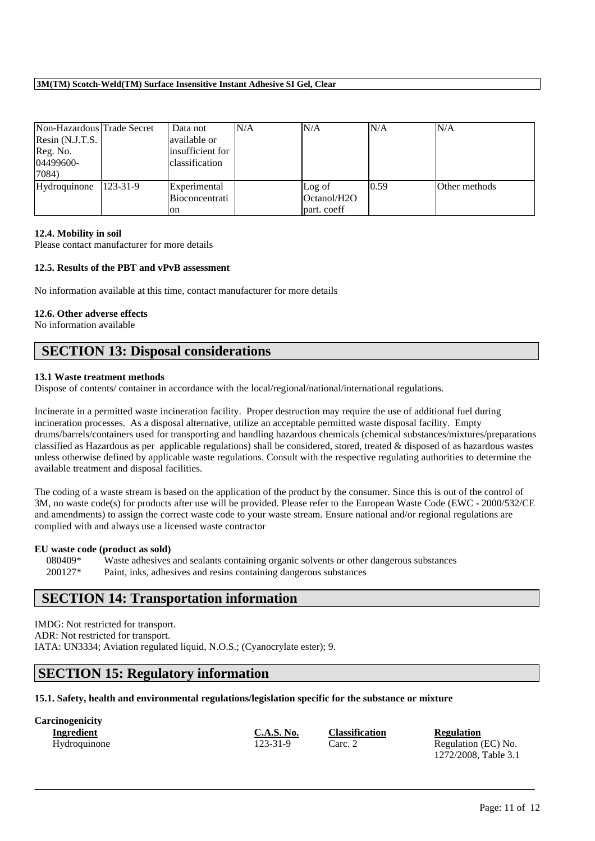| Non-Hazardous Trade Secret<br>Resin $(N.J.T.S.$<br>Reg. No.<br>04499600-<br>7084) |          | Data not<br>available or<br>insufficient for<br>classification | N/A | N/A                                               | N/A  | N/A           |
|-----------------------------------------------------------------------------------|----------|----------------------------------------------------------------|-----|---------------------------------------------------|------|---------------|
| Hydroquinone                                                                      | 123-31-9 | Experimental<br>Bioconcentrati<br>on                           |     | Log of<br>Octanol/H <sub>2</sub> O<br>part. coeff | 0.59 | Other methods |

#### **12.4. Mobility in soil**

Please contact manufacturer for more details

## **12.5. Results of the PBT and vPvB assessment**

No information available at this time, contact manufacturer for more details

#### **12.6. Other adverse effects**

No information available

## **SECTION 13: Disposal considerations**

#### **13.1 Waste treatment methods**

Dispose of contents/ container in accordance with the local/regional/national/international regulations.

Incinerate in a permitted waste incineration facility. Proper destruction may require the use of additional fuel during incineration processes. As a disposal alternative, utilize an acceptable permitted waste disposal facility. Empty drums/barrels/containers used for transporting and handling hazardous chemicals (chemical substances/mixtures/preparations classified as Hazardous as per applicable regulations) shall be considered, stored, treated & disposed of as hazardous wastes unless otherwise defined by applicable waste regulations. Consult with the respective regulating authorities to determine the available treatment and disposal facilities.

The coding of a waste stream is based on the application of the product by the consumer. Since this is out of the control of 3M, no waste code(s) for products after use will be provided. Please refer to the European Waste Code (EWC - 2000/532/CE and amendments) to assign the correct waste code to your waste stream. Ensure national and/or regional regulations are complied with and always use a licensed waste contractor

#### **EU waste code (product as sold)**

080409\* Waste adhesives and sealants containing organic solvents or other dangerous substances 200127\* Paint, inks, adhesives and resins containing dangerous substances

# **SECTION 14: Transportation information**

IMDG: Not restricted for transport. ADR: Not restricted for transport. IATA: UN3334; Aviation regulated liquid, N.O.S.; (Cyanocrylate ester); 9.

# **SECTION 15: Regulatory information**

**15.1. Safety, health and environmental regulations/legislation specific for the substance or mixture**

| <b>Carcinogenicity</b> |                   |                       |                      |
|------------------------|-------------------|-----------------------|----------------------|
| Ingredient             | <b>C.A.S. No.</b> | <b>Classification</b> | <b>Regulation</b>    |
| Hydroquinone           | 123-31-9          | Carc. 2               | Regulation (EC) No.  |
|                        |                   |                       | 1272/2008, Table 3.1 |